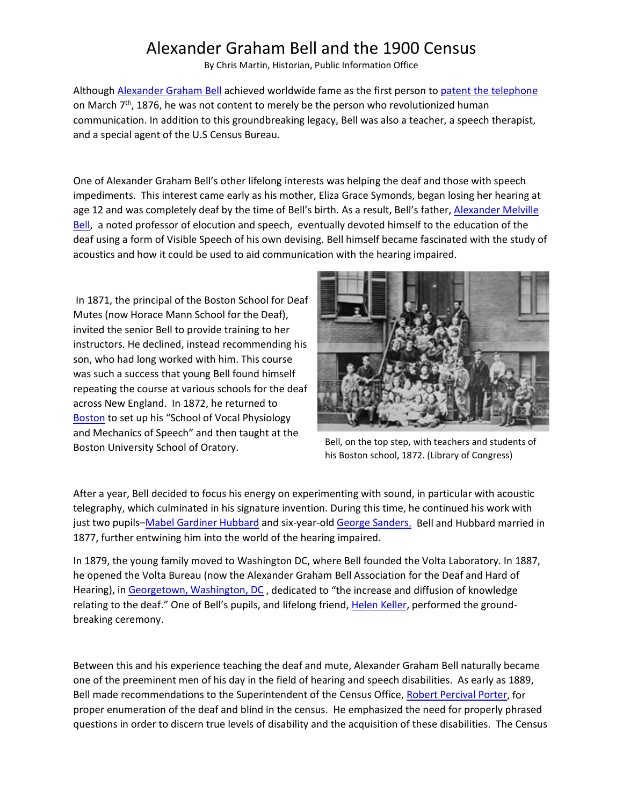## Alexander Graham Bell and the 1900 Census

By Chris Martin, Historian, Public Information Office

Although [Alexander Graham Bell](http://www.census.gov/history/pdf/alexandergbell1900.pdf) achieved worldwide fame as the first person to [patent the telephone](http://pdfpiw.uspto.gov/.piw?docid=00174465&SectionNum=1&IDKey=26DF092ACB57&HomeUrl=http://patft.uspto.gov/netahtml/PTO/patimg.htm) on March  $7<sup>th</sup>$ , 1876, he was not content to merely be the person who revolutionized human communication. In addition to this groundbreaking legacy, Bell was also a teacher, a speech therapist, and a special agent of the U.S Census Bureau.

One of Alexander Graham Bell's other lifelong interests was helping the deaf and those with speech impediments. This interest came early as his mother, Eliza Grace Symonds, began losing her hearing at age 12 and was completely deaf by the time of Bell's birth. As a result, Bell's father, Alexander Melville [Bell,](http://www.census.gov/history/pdf/alexandermbell1900.pdf) a noted professor of elocution and speech, eventually devoted himself to the education of the deaf using a form of Visible Speech of his own devising. Bell himself became fascinated with the study of acoustics and how it could be used to aid communication with the hearing impaired.

In 1871, the principal of the Boston School for Deaf Mutes (now Horace Mann School for the Deaf), invited the senior Bell to provide training to her instructors. He declined, instead recommending his son, who had long worked with him. This course was such a success that young Bell found himself repeating the course at various schools for the deaf across New England. In 1872, he returned to [Boston](http://www.census.gov/history/pdf/bell1870boston2017cm.pdf) to set up his "School of Vocal Physiology and Mechanics of Speech" and then taught at the Boston University School of Oratory.



Bell, on the top step, with teachers and students of his Boston school, 1872. (Library of Congress)

After a year, Bell decided to focus his energy on experimenting with sound, in particular with acoustic telegraphy, which culminated in his signature invention. During this time, he continued his work with just two pupils[–Mabel Gardiner Hubbard](http://www.census.gov/history/pdf/mabelghubbard1870.pdf) and six-year-old [George Sanders.](http://www.census.gov/history/pdf/georgesanders1870.pdf) Bell and Hubbard married in 1877, further entwining him into the world of the hearing impaired.

In 1879, the young family moved to Washington DC, where Bell founded the Volta Laboratory. In 1887, he opened the Volta Bureau (now the Alexander Graham Bell Association for the Deaf and Hard of Hearing), in [Georgetown, Washington, DC](http://www.census.gov/history/pdf/georgetown1890cm2017.pdf) , dedicated to "the increase and diffusion of knowledge relating to the deaf." One of Bell's pupils, and lifelong friend[, Helen Keller,](http://www.census.gov/history/pdf/helenkeller1900.pdf) performed the groundbreaking ceremony.

Between this and his experience teaching the deaf and mute, Alexander Graham Bell naturally became one of the preeminent men of his day in the field of hearing and speech disabilities. As early as 1889, Bell made recommendations to the Superintendent of the Census Office, [Robert Percival Porter,](http://www.census.gov/history/www/census_then_now/director_biographies/directors_1865_-_1893.html) for proper enumeration of the deaf and blind in the census. He emphasized the need for properly phrased questions in order to discern true levels of disability and the acquisition of these disabilities. The Census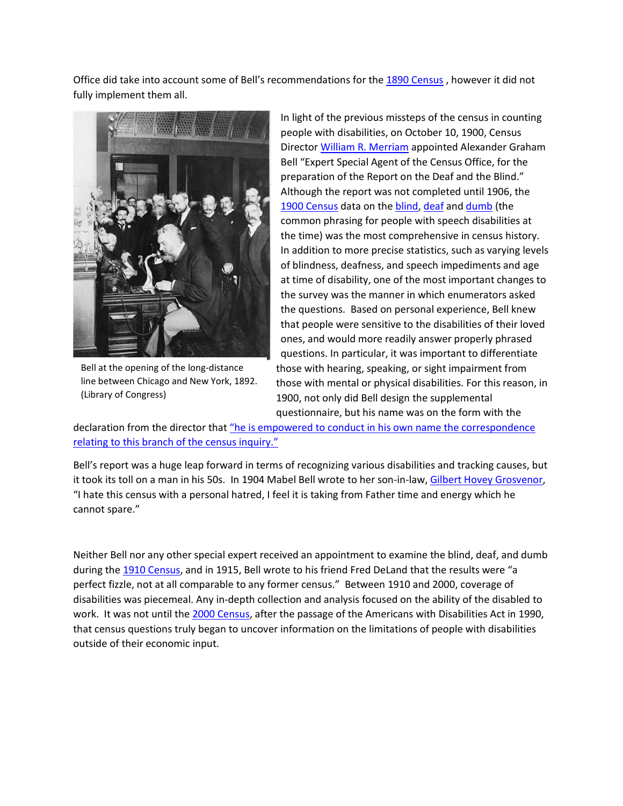Office did take into account some of Bell's recommendations for th[e 1890 Census](https://www.census.gov/history/www/through_the_decades/fast_facts/1890_fast_facts.html) , however it did not fully implement them all.



Bell at the opening of the long-distance line between Chicago and New York, 1892. (Library of Congress)

In light of the previous missteps of the census in counting people with disabilities, on October 10, 1900, Census Director [William R. Merriam](http://www.census.gov/history/www/census_then_now/director_biographies/directors_1893_-_1909.html) appointed Alexander Graham Bell "Expert Special Agent of the Census Office, for the preparation of the Report on the Deaf and the Blind." Although the report was not completed until 1906, the [1900 Census](https://www.census.gov/history/www/through_the_decades/fast_facts/1900_fast_facts.html) data on the [blind,](http://www.census.gov/history/pdf/blind1900cm2017.pdf) [deaf](http://www.census.gov/history/pdf/deaf1900cm2017.pdf) and [dumb](http://www.census.gov/history/pdf/speech1900cm2017.pdf) (the common phrasing for people with speech disabilities at the time) was the most comprehensive in census history. In addition to more precise statistics, such as varying levels of blindness, deafness, and speech impediments and age at time of disability, one of the most important changes to the survey was the manner in which enumerators asked the questions. Based on personal experience, Bell knew that people were sensitive to the disabilities of their loved ones, and would more readily answer properly phrased questions. In particular, it was important to differentiate those with hearing, speaking, or sight impairment from those with mental or physical disabilities. For this reason, in 1900, not only did Bell design the supplemental questionnaire, but his name was on the form with the

declaration from the director tha[t "he is empowered to conduct in his own name the correspondence](http://www.census.gov/history/pdf/bellblind1900cm2017.pdf)  [relating to this branch of the census inquiry."](http://www.census.gov/history/pdf/bellblind1900cm2017.pdf)

Bell's report was a huge leap forward in terms of recognizing various disabilities and tracking causes, but it took its toll on a man in his 50s. In 1904 Mabel Bell wrote to her son-in-law, [Gilbert Hovey Grosvenor,](http://www.census.gov/history/pdf/gilbertgrosvenor1900.pdf) "I hate this census with a personal hatred, I feel it is taking from Father time and energy which he cannot spare."

Neither Bell nor any other special expert received an appointment to examine the blind, deaf, and dumb during the [1910 Census,](https://www.census.gov/history/www/through_the_decades/fast_facts/1910_fast_facts.html) and in 1915, Bell wrote to his friend Fred DeLand that the results were "a perfect fizzle, not at all comparable to any former census." Between 1910 and 2000, coverage of disabilities was piecemeal. Any in-depth collection and analysis focused on the ability of the disabled to work. It was not until the [2000 Census,](https://www.census.gov/history/www/through_the_decades/fast_facts/2000_new.html) after the passage of the Americans with Disabilities Act in 1990, that census questions truly began to uncover information on the limitations of people with disabilities outside of their economic input.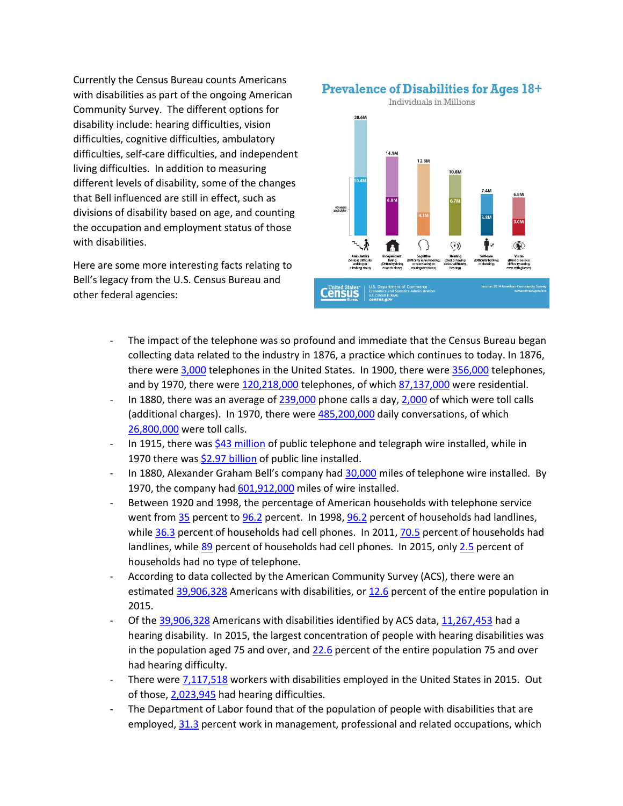Currently the Census Bureau counts Americans with disabilities as part of the ongoing American Community Survey. The different options for disability include: hearing difficulties, vision difficulties, cognitive difficulties, ambulatory difficulties, self-care difficulties, and independent living difficulties. In addition to measuring different levels of disability, some of the changes that Bell influenced are still in effect, such as divisions of disability based on age, and counting the occupation and employment status of those with disabilities.

Here are some more interesting facts relating to Bell's legacy from the U.S. Census Bureau and other federal agencies:

**Prevalence of Disabilities for Ages 18+** 



- The impact of the telephone was so profound and immediate that the Census Bureau began collecting data related to the industry in 1876, a practice which continues to today. In 1876, there were [3,000](http://www.census.gov/history/pdf/bellstats2017cm2.pdf) telephones in the United States. In 1900, there wer[e 356,000](http://www.census.gov/history/pdf/bellstats2017cm2.pdf) telephones, and by 1970, there were [120,218,000](http://www.census.gov/history/pdf/bellstats2017cm2.pdf) telephones, of which [87,137,000](http://www.census.gov/history/pdf/bellstats2017cm2.pdf) were residential.
- In 1880, there was an average o[f 239,000](http://www.census.gov/history/pdf/bellstats2017cm2.pdf) phone calls a day, [2,000](http://www.census.gov/history/pdf/bellstats2017cm2.pdf) of which were toll calls (additional charges). In 1970, there were [485,200,000](http://www.census.gov/history/pdf/bellstats2017cm2.pdf) daily conversations, of which [26,800,000](http://www.census.gov/history/pdf/bellstats2017cm2.pdf) were toll calls.
- In 1915, there was [\\$43 million](http://www.census.gov/history/pdf/bellstats2017cm1.pdf) of public telephone and telegraph wire installed, while in 1970 there wa[s \\$2.97](http://www.census.gov/history/pdf/bellstats2017cm1.pdf) billion of public line installed.
- In 1880, Alexander Graham Bell's company ha[d 30,000](http://www.census.gov/history/pdf/bellstats2017cm3.pdf) miles of telephone wire installed. By 1970, the company had [601,912,000](http://www.census.gov/history/pdf/bellstats2017cm3.pdf) miles of wire installed.
- Between 1920 and 1998, the percentage of American households with telephone service went fro[m 35](http://www.census.gov/history/pdf/bell19202017cm.pdf) percent to [96.2](http://www.census.gov/history/pdf/bell19982017cm.pdf) percent. In 1998, 96.2 percent of households had landlines, whil[e 36.3](http://www.census.gov/history/pdf/bell19982017cm.pdf) percent of households had cell phones. In 2011[, 70.5](http://www.census.gov/history/pdf/bell19982017cm.pdf) percent of households had landlines, while [89](http://www.census.gov/history/pdf/bell19982017cm.pdf) percent of households had cell phones. In 2015, only [2.5](https://factfinder.census.gov/faces/tableservices/jsf/pages/productview.xhtml?pid=ACS_15_1YR_DP04&prodType=table) percent of households had no type of telephone.
- According to data collected by the American Community Survey (ACS), there were an estimate[d 39,906,328](http://www.census.gov/history/pdf/belltotal22017cm.pdf) Americans with disabilities, o[r 12.6](http://www.census.gov/history/pdf/belltotal22017cm.pdf) percent of the entire population in 2015.
- Of the [39,906,328](http://www.census.gov/history/pdf/belltotal22017cm.pdf) Americans with disabilities identified by ACS data, [11,267,453](http://www.census.gov/history/pdf/belltotal22017cm.pdf) had a hearing disability. In 2015, the largest concentration of people with hearing disabilities was in the population aged 75 and over, and  $22.6$  percent of the entire population 75 and over had hearing difficulty.
- There wer[e 7,117,518](http://www.census.gov/history/pdf/belltotal2017cm.pdf) workers with disabilities employed in the United States in 2015. Out of those, [2,023,945](http://www.census.gov/history/pdf/belltotal2017cm.pdf) had hearing difficulties.
- The Department of Labor found that of the population of people with disabilities that are employed, [31.3](http://www.census.gov/history/pdf/belldol2017cm.pdf) percent work in management, professional and related occupations, which